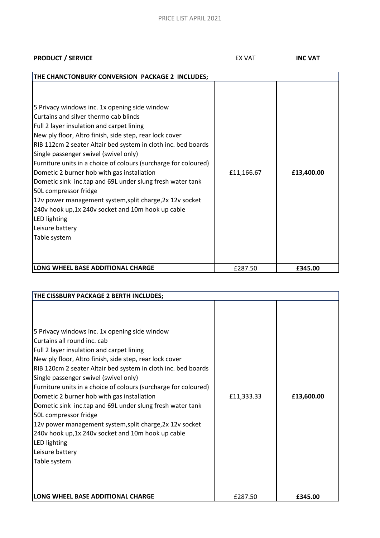**PRODUCT / SERVICE INC VAT INC VAT** 

| THE CHANCTONBURY CONVERSION PACKAGE 2 INCLUDES;                                                                                                                                                                                                                                                                                                                                                                                                                                                                                                                                                                                                                                      |            |            |
|--------------------------------------------------------------------------------------------------------------------------------------------------------------------------------------------------------------------------------------------------------------------------------------------------------------------------------------------------------------------------------------------------------------------------------------------------------------------------------------------------------------------------------------------------------------------------------------------------------------------------------------------------------------------------------------|------------|------------|
| 5 Privacy windows inc. 1x opening side window<br>Curtains and silver thermo cab blinds<br>Full 2 layer insulation and carpet lining<br>New ply floor, Altro finish, side step, rear lock cover<br>RIB 112cm 2 seater Altair bed system in cloth inc. bed boards<br>Single passenger swivel (swivel only)<br>Furniture units in a choice of colours (surcharge for coloured)<br>Dometic 2 burner hob with gas installation<br>Dometic sink inc.tap and 69L under slung fresh water tank<br>50L compressor fridge<br>12v power management system, split charge, 2x 12v socket<br>240v hook up, 1x 240v socket and 10m hook up cable<br>LED lighting<br>Leisure battery<br>Table system | £11,166.67 | £13,400.00 |
| LONG WHEEL BASE ADDITIONAL CHARGE                                                                                                                                                                                                                                                                                                                                                                                                                                                                                                                                                                                                                                                    | £287.50    | £345.00    |

| THE CISSBURY PACKAGE 2 BERTH INCLUDES;                                                                                                                                                                                                                                                                                                                                                                                                                                                                                                                                                                                                                                     |            |            |
|----------------------------------------------------------------------------------------------------------------------------------------------------------------------------------------------------------------------------------------------------------------------------------------------------------------------------------------------------------------------------------------------------------------------------------------------------------------------------------------------------------------------------------------------------------------------------------------------------------------------------------------------------------------------------|------------|------------|
| 5 Privacy windows inc. 1x opening side window<br>Curtains all round inc. cab<br>Full 2 layer insulation and carpet lining<br>New ply floor, Altro finish, side step, rear lock cover<br>RIB 120cm 2 seater Altair bed system in cloth inc. bed boards<br>Single passenger swivel (swivel only)<br>Furniture units in a choice of colours (surcharge for coloured)<br>Dometic 2 burner hob with gas installation<br>Dometic sink inc.tap and 69L under slung fresh water tank<br>50L compressor fridge<br>12v power management system, split charge, 2x 12v socket<br>240v hook up, 1x 240v socket and 10m hook up cable<br>LED lighting<br>Leisure battery<br>Table system | £11,333.33 | £13,600.00 |
| LONG WHEEL BASE ADDITIONAL CHARGE                                                                                                                                                                                                                                                                                                                                                                                                                                                                                                                                                                                                                                          | £287.50    | £345.00    |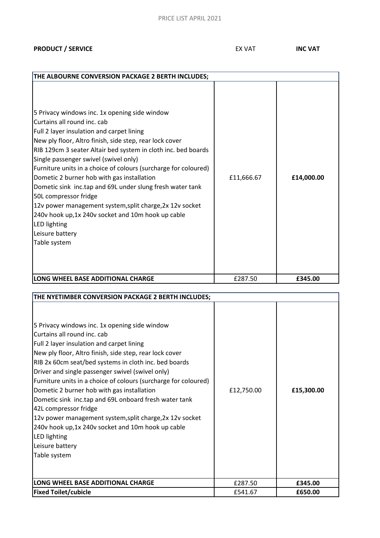## PRICE LIST APRIL 2021

### **PRODUCT / SERVICE INC VAT INC VAT**

| THE ALBOURNE CONVERSION PACKAGE 2 BERTH INCLUDES;                                                                                                                                                                                                                                                                                                                                                                                                                                                                                                                                                                                                                          |            |            |
|----------------------------------------------------------------------------------------------------------------------------------------------------------------------------------------------------------------------------------------------------------------------------------------------------------------------------------------------------------------------------------------------------------------------------------------------------------------------------------------------------------------------------------------------------------------------------------------------------------------------------------------------------------------------------|------------|------------|
| 5 Privacy windows inc. 1x opening side window<br>Curtains all round inc. cab<br>Full 2 layer insulation and carpet lining<br>New ply floor, Altro finish, side step, rear lock cover<br>RIB 129cm 3 seater Altair bed system in cloth inc. bed boards<br>Single passenger swivel (swivel only)<br>Furniture units in a choice of colours (surcharge for coloured)<br>Dometic 2 burner hob with gas installation<br>Dometic sink inc.tap and 69L under slung fresh water tank<br>50L compressor fridge<br>12v power management system, split charge, 2x 12v socket<br>240v hook up, 1x 240v socket and 10m hook up cable<br>LED lighting<br>Leisure battery<br>Table system | £11,666.67 | £14,000.00 |
| LONG WHEEL BASE ADDITIONAL CHARGE                                                                                                                                                                                                                                                                                                                                                                                                                                                                                                                                                                                                                                          | £287.50    | £345.00    |

| THE NYETIMBER CONVERSION PACKAGE 2 BERTH INCLUDES;                                                                                                                                                                                                                                                                                                                                                                                                                                                                                                                                                                                                                        |            |            |
|---------------------------------------------------------------------------------------------------------------------------------------------------------------------------------------------------------------------------------------------------------------------------------------------------------------------------------------------------------------------------------------------------------------------------------------------------------------------------------------------------------------------------------------------------------------------------------------------------------------------------------------------------------------------------|------------|------------|
| 5 Privacy windows inc. 1x opening side window<br>Curtains all round inc. cab<br>Full 2 layer insulation and carpet lining<br>New ply floor, Altro finish, side step, rear lock cover<br>RIB 2x 60cm seat/bed systems in cloth inc. bed boards<br>Driver and single passenger swivel (swivel only)<br>Furniture units in a choice of colours (surcharge for coloured)<br>Dometic 2 burner hob with gas installation<br>Dometic sink inc.tap and 69L onboard fresh water tank<br>42L compressor fridge<br>12v power management system, split charge, 2x 12v socket<br>240v hook up, 1x 240v socket and 10m hook up cable<br>LED lighting<br>Leisure battery<br>Table system | £12,750.00 | £15,300.00 |
| LONG WHEEL BASE ADDITIONAL CHARGE                                                                                                                                                                                                                                                                                                                                                                                                                                                                                                                                                                                                                                         | £287.50    | £345.00    |
| <b>Fixed Toilet/cubicle</b>                                                                                                                                                                                                                                                                                                                                                                                                                                                                                                                                                                                                                                               | £541.67    | £650.00    |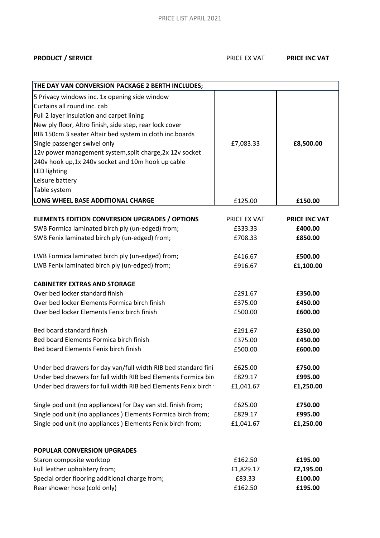# **PRODUCT / SERVICE PRODUCT / SERVICE**

| THE DAY VAN CONVERSION PACKAGE 2 BERTH INCLUDES;               |              |                      |
|----------------------------------------------------------------|--------------|----------------------|
| 5 Privacy windows inc. 1x opening side window                  |              |                      |
| Curtains all round inc. cab                                    |              |                      |
| Full 2 layer insulation and carpet lining                      |              |                      |
| New ply floor, Altro finish, side step, rear lock cover        |              |                      |
| RIB 150cm 3 seater Altair bed system in cloth inc.boards       |              |                      |
| Single passenger swivel only                                   | £7,083.33    | £8,500.00            |
| 12v power management system, split charge, 2x 12v socket       |              |                      |
| 240v hook up, 1x 240v socket and 10m hook up cable             |              |                      |
| <b>LED lighting</b>                                            |              |                      |
| Leisure battery                                                |              |                      |
| Table system                                                   |              |                      |
| LONG WHEEL BASE ADDITIONAL CHARGE                              | £125.00      | £150.00              |
|                                                                |              |                      |
| <b>ELEMENTS EDITION CONVERSION UPGRADES / OPTIONS</b>          | PRICE EX VAT | <b>PRICE INC VAT</b> |
| SWB Formica laminated birch ply (un-edged) from;               | £333.33      | £400.00              |
| SWB Fenix laminated birch ply (un-edged) from;                 | £708.33      | £850.00              |
|                                                                |              |                      |
| LWB Formica laminated birch ply (un-edged) from;               | £416.67      | £500.00              |
| LWB Fenix laminated birch ply (un-edged) from;                 | £916.67      | £1,100.00            |
|                                                                |              |                      |
| <b>CABINETRY EXTRAS AND STORAGE</b>                            |              |                      |
| Over bed locker standard finish                                | £291.67      | £350.00              |
| Over bed locker Elements Formica birch finish                  | £375.00      | £450.00              |
| Over bed locker Elements Fenix birch finish                    | £500.00      | £600.00              |
| Bed board standard finish                                      | £291.67      | £350.00              |
| Bed board Elements Formica birch finish                        | £375.00      | £450.00              |
| Bed board Elements Fenix birch finish                          | £500.00      | £600.00              |
|                                                                |              |                      |
| Under bed drawers for day van/full width RIB bed standard fini | £625.00      | £750.00              |
| Under bed drawers for full width RIB bed Elements Formica bire | £829.17      | £995.00              |
| Under bed drawers for full width RIB bed Elements Fenix birch  | £1,041.67    | £1,250.00            |
|                                                                |              |                      |
| Single pod unit (no appliances) for Day van std. finish from;  | £625.00      | £750.00              |
| Single pod unit (no appliances) Elements Formica birch from;   | £829.17      | £995.00              |
| Single pod unit (no appliances) Elements Fenix birch from;     | £1,041.67    | £1,250.00            |
|                                                                |              |                      |
| POPULAR CONVERSION UPGRADES                                    |              |                      |
| Staron composite worktop                                       | £162.50      | £195.00              |
|                                                                |              |                      |
| Full leather upholstery from;                                  | £1,829.17    | £2,195.00            |
| Special order flooring additional charge from;                 | £83.33       | £100.00              |
| Rear shower hose (cold only)                                   | £162.50      | £195.00              |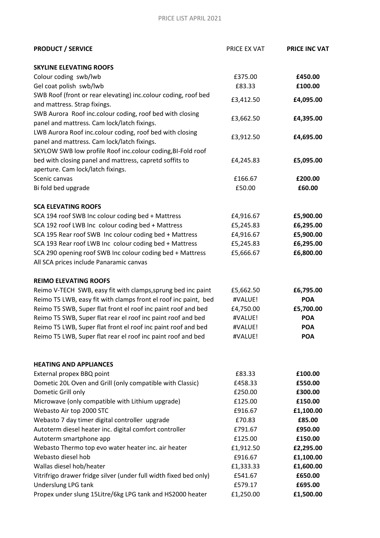| <b>PRODUCT / SERVICE</b>                                          | PRICE EX VAT | <b>PRICE INC VAT</b> |
|-------------------------------------------------------------------|--------------|----------------------|
| <b>SKYLINE ELEVATING ROOFS</b>                                    |              |                      |
| Colour coding swb/lwb                                             | £375.00      | £450.00              |
| Gel coat polish swb/lwb                                           | £83.33       | £100.00              |
| SWB Roof (front or rear elevating) inc.colour coding, roof bed    | £3,412.50    | £4,095.00            |
| and mattress. Strap fixings.                                      |              |                      |
| SWB Aurora Roof inc.colour coding, roof bed with closing          | £3,662.50    | £4,395.00            |
| panel and mattress. Cam lock/latch fixings.                       |              |                      |
| LWB Aurora Roof inc.colour coding, roof bed with closing          | £3,912.50    | £4,695.00            |
| panel and mattress. Cam lock/latch fixings.                       |              |                      |
| SKYLOW SWB low profile Roof inc.colour coding, BI-Fold roof       |              |                      |
| bed with closing panel and mattress, capretd soffits to           | £4,245.83    | £5,095.00            |
| aperture. Cam lock/latch fixings.                                 |              |                      |
| Scenic canvas                                                     | £166.67      | £200.00              |
| Bi fold bed upgrade                                               | £50.00       | £60.00               |
| <b>SCA ELEVATING ROOFS</b>                                        |              |                      |
| SCA 194 roof SWB Inc colour coding bed + Mattress                 | £4,916.67    | £5,900.00            |
| SCA 192 roof LWB Inc colour coding bed + Mattress                 | £5,245.83    | £6,295.00            |
| SCA 195 Rear roof SWB Inc colour coding bed + Mattress            | £4,916.67    | £5,900.00            |
| SCA 193 Rear roof LWB Inc colour coding bed + Mattress            | £5,245.83    | £6,295.00            |
| SCA 290 opening roof SWB Inc colour coding bed + Mattress         | £5,666.67    | £6,800.00            |
| All SCA prices include Panaramic canvas                           |              |                      |
| <b>REIMO ELEVATING ROOFS</b>                                      |              |                      |
| Reimo V-TECH SWB, easy fit with clamps, sprung bed inc paint      | £5,662.50    | £6,795.00            |
| Reimo T5 LWB, easy fit with clamps front el roof inc paint, bed   | #VALUE!      | <b>POA</b>           |
| Reimo T5 SWB, Super flat front el roof inc paint roof and bed     | £4,750.00    | £5,700.00            |
| Reimo T5 SWB, Super flat rear el roof inc paint roof and bed      | #VALUE!      | <b>POA</b>           |
| Reimo T5 LWB, Super flat front el roof inc paint roof and bed     | #VALUE!      | <b>POA</b>           |
| Reimo T5 LWB, Super flat rear el roof inc paint roof and bed      | #VALUE!      | <b>POA</b>           |
| <b>HEATING AND APPLIANCES</b>                                     |              |                      |
| External propex BBQ point                                         | £83.33       | £100.00              |
| Dometic 20L Oven and Grill (only compatible with Classic)         | £458.33      | £550.00              |
| Dometic Grill only                                                | £250.00      | £300.00              |
| Microwave (only compatible with Lithium upgrade)                  | £125.00      | £150.00              |
| Webasto Air top 2000 STC                                          | £916.67      | £1,100.00            |
| Webasto 7 day timer digital controller upgrade                    | £70.83       | £85.00               |
| Autoterm diesel heater inc. digital comfort controller            | £791.67      | £950.00              |
| Autoterm smartphone app                                           | £125.00      | £150.00              |
| Webasto Thermo top evo water heater inc. air heater               | £1,912.50    | £2,295.00            |
| Webasto diesel hob                                                | £916.67      | £1,100.00            |
| Wallas diesel hob/heater                                          | £1,333.33    | £1,600.00            |
| Vitrifrigo drawer fridge silver (under full width fixed bed only) | £541.67      | £650.00              |
| Underslung LPG tank                                               | £579.17      | £695.00              |
| Propex under slung 15Litre/6kg LPG tank and HS2000 heater         | £1,250.00    | £1,500.00            |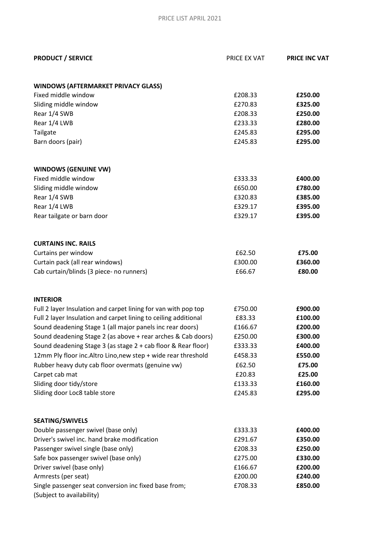| <b>PRODUCT / SERVICE</b>                                                                                                     | PRICE EX VAT       | <b>PRICE INC VAT</b> |
|------------------------------------------------------------------------------------------------------------------------------|--------------------|----------------------|
|                                                                                                                              |                    |                      |
| <b>WINDOWS (AFTERMARKET PRIVACY GLASS)</b><br>Fixed middle window                                                            |                    |                      |
| Sliding middle window                                                                                                        | £208.33<br>£270.83 | £250.00<br>£325.00   |
| Rear 1/4 SWB                                                                                                                 | £208.33            | £250.00              |
| Rear 1/4 LWB                                                                                                                 | £233.33            | £280.00              |
| Tailgate                                                                                                                     | £245.83            | £295.00              |
| Barn doors (pair)                                                                                                            | £245.83            | £295.00              |
| <b>WINDOWS (GENUINE VW)</b>                                                                                                  |                    |                      |
| Fixed middle window                                                                                                          | £333.33            | £400.00              |
| Sliding middle window                                                                                                        | £650.00            | £780.00              |
| Rear 1/4 SWB                                                                                                                 | £320.83            | £385.00              |
| Rear 1/4 LWB                                                                                                                 | £329.17            | £395.00              |
| Rear tailgate or barn door                                                                                                   | £329.17            | £395.00              |
| <b>CURTAINS INC. RAILS</b>                                                                                                   |                    |                      |
| Curtains per window                                                                                                          | £62.50             | £75.00               |
| Curtain pack (all rear windows)                                                                                              | £300.00            | £360.00              |
| Cab curtain/blinds (3 piece- no runners)                                                                                     | £66.67             | £80.00               |
|                                                                                                                              |                    |                      |
| <b>INTERIOR</b>                                                                                                              |                    |                      |
| Full 2 layer Insulation and carpet lining for van with pop top                                                               | £750.00            | £900.00              |
| Full 2 layer Insulation and carpet lining to ceiling additional<br>Sound deadening Stage 1 (all major panels inc rear doors) | £83.33<br>£166.67  | £100.00<br>£200.00   |
| Sound deadening Stage 2 (as above + rear arches & Cab doors)                                                                 | £250.00            | £300.00              |
| Sound deadening Stage 3 (as stage 2 + cab floor & Rear floor)                                                                | £333.33            | £400.00              |
| 12mm Ply floor inc. Altro Lino, new step + wide rear threshold                                                               | £458.33            | £550.00              |
| Rubber heavy duty cab floor overmats (genuine vw)                                                                            | £62.50             | £75.00               |
| Carpet cab mat                                                                                                               | £20.83             | £25.00               |
| Sliding door tidy/store                                                                                                      | £133.33            | £160.00              |
| Sliding door Loc8 table store                                                                                                | £245.83            | £295.00              |
| <b>SEATING/SWIVELS</b>                                                                                                       |                    |                      |
| Double passenger swivel (base only)                                                                                          | £333.33            | £400.00              |
| Driver's swivel inc. hand brake modification                                                                                 | £291.67            | £350.00              |
| Passenger swivel single (base only)                                                                                          | £208.33            | £250.00              |
| Safe box passenger swivel (base only)                                                                                        | £275.00            | £330.00              |
| Driver swivel (base only)                                                                                                    | £166.67            | £200.00              |
| Armrests (per seat)                                                                                                          | £200.00            | £240.00              |
| Single passenger seat conversion inc fixed base from;                                                                        | £708.33            | £850.00              |
| (Subject to availability)                                                                                                    |                    |                      |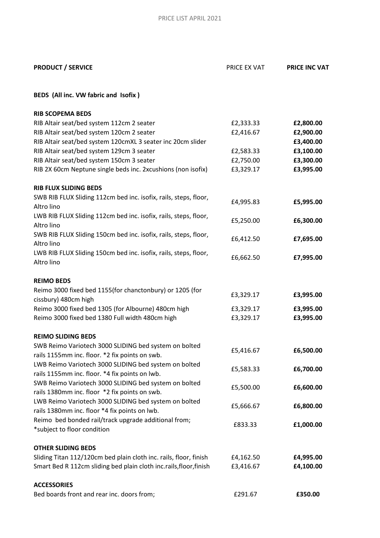| <b>PRODUCT / SERVICE</b>                                                                                | PRICE EX VAT | <b>PRICE INC VAT</b> |
|---------------------------------------------------------------------------------------------------------|--------------|----------------------|
| BEDS (All inc. VW fabric and Isofix)                                                                    |              |                      |
| <b>RIB SCOPEMA BEDS</b>                                                                                 |              |                      |
| RIB Altair seat/bed system 112cm 2 seater                                                               | £2,333.33    | £2,800.00            |
| RIB Altair seat/bed system 120cm 2 seater                                                               | £2,416.67    | £2,900.00            |
| RIB Altair seat/bed system 120cmXL 3 seater inc 20cm slider                                             |              | £3,400.00            |
| RIB Altair seat/bed system 129cm 3 seater                                                               | £2,583.33    | £3,100.00            |
| RIB Altair seat/bed system 150cm 3 seater                                                               | £2,750.00    | £3,300.00            |
| RIB 2X 60cm Neptune single beds inc. 2xcushions (non isofix)                                            | £3,329.17    | £3,995.00            |
| <b>RIB FLUX SLIDING BEDS</b>                                                                            |              |                      |
| SWB RIB FLUX Sliding 112cm bed inc. isofix, rails, steps, floor,<br>Altro lino                          | £4,995.83    | £5,995.00            |
| LWB RIB FLUX Sliding 112cm bed inc. isofix, rails, steps, floor,<br>Altro lino                          | £5,250.00    | £6,300.00            |
| SWB RIB FLUX Sliding 150cm bed inc. isofix, rails, steps, floor,<br>Altro lino                          | £6,412.50    | £7,695.00            |
| LWB RIB FLUX Sliding 150cm bed inc. isofix, rails, steps, floor,<br>Altro lino                          | £6,662.50    | £7,995.00            |
| <b>REIMO BEDS</b>                                                                                       |              |                      |
| Reimo 3000 fixed bed 1155(for chanctonbury) or 1205 (for<br>cissbury) 480cm high                        | £3,329.17    | £3,995.00            |
| Reimo 3000 fixed bed 1305 (for Albourne) 480cm high                                                     | £3,329.17    | £3,995.00            |
| Reimo 3000 fixed bed 1380 Full width 480cm high                                                         | £3,329.17    | £3,995.00            |
| <b>REIMO SLIDING BEDS</b>                                                                               |              |                      |
| SWB Reimo Variotech 3000 SLIDING bed system on bolted<br>rails 1155mm inc. floor. *2 fix points on swb. | £5,416.67    | £6,500.00            |
| LWB Reimo Variotech 3000 SLIDING bed system on bolted<br>rails 1155mm inc. floor. *4 fix points on lwb. | £5,583.33    | £6,700.00            |
| SWB Reimo Variotech 3000 SLIDING bed system on bolted<br>rails 1380mm inc. floor *2 fix points on swb.  | £5,500.00    | £6,600.00            |
| LWB Reimo Variotech 3000 SLIDING bed system on bolted<br>rails 1380mm inc. floor *4 fix points on lwb.  | £5,666.67    | £6,800.00            |
| Reimo bed bonded rail/track upgrade additional from;<br>*subject to floor condition                     | £833.33      | £1,000.00            |
| <b>OTHER SLIDING BEDS</b>                                                                               |              |                      |
| Sliding Titan 112/120cm bed plain cloth inc. rails, floor, finish                                       | £4,162.50    | £4,995.00            |
| Smart Bed R 112cm sliding bed plain cloth inc.rails, floor, finish                                      | £3,416.67    | £4,100.00            |
| <b>ACCESSORIES</b>                                                                                      |              |                      |
| Bed boards front and rear inc. doors from;                                                              | £291.67      | £350.00              |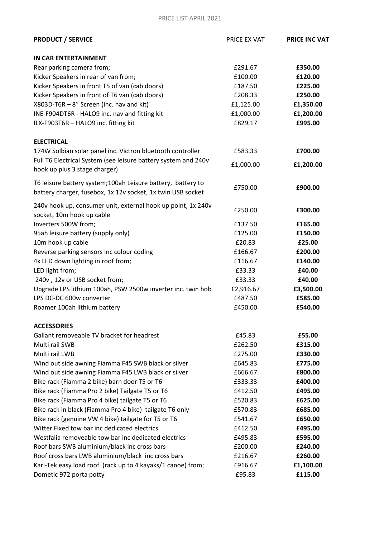### PRICE LIST APRIL 2021

| <b>PRODUCT / SERVICE</b>                                                                                                   | <b>PRICE EX VAT</b> | <b>PRICE INC VAT</b> |
|----------------------------------------------------------------------------------------------------------------------------|---------------------|----------------------|
| <b>IN CAR ENTERTAINMENT</b>                                                                                                |                     |                      |
| Rear parking camera from;                                                                                                  | £291.67             | £350.00              |
| Kicker Speakers in rear of van from;                                                                                       | £100.00             | £120.00              |
| Kicker Speakers in front T5 of van (cab doors)                                                                             | £187.50             | £225.00              |
| Kicker Speakers in front of T6 van (cab doors)                                                                             | £208.33             | £250.00              |
| X803D-T6R - 8" Screen (inc. nav and kit)                                                                                   | £1,125.00           | £1,350.00            |
| INE-F904DT6R - HALO9 inc. nav and fitting kit                                                                              | £1,000.00           | £1,200.00            |
| ILX-F903T6R - HALO9 inc. fitting kit                                                                                       | £829.17             | £995.00              |
| <b>ELECTRICAL</b>                                                                                                          |                     |                      |
| 174W Solbian solar panel inc. Victron bluetooth controller                                                                 | £583.33             | £700.00              |
| Full T6 Electrical System (see leisure battery system and 240v<br>hook up plus 3 stage charger)                            | £1,000.00           | £1,200.00            |
| T6 leisure battery system;100ah Leisure battery, battery to<br>battery charger, fusebox, 1x 12v socket, 1x twin USB socket | £750.00             | £900.00              |
| 240v hook up, consumer unit, external hook up point, 1x 240v<br>socket, 10m hook up cable                                  | £250.00             | £300.00              |
| Inverters 500W from;                                                                                                       | £137.50             | £165.00              |
| 95ah leisure battery (supply only)                                                                                         | £125.00             | £150.00              |
| 10m hook up cable                                                                                                          | £20.83              | £25.00               |
| Reverse parking sensors inc colour coding                                                                                  | £166.67             | £200.00              |
| 4x LED down lighting in roof from;                                                                                         | £116.67             | £140.00              |
| LED light from;                                                                                                            | £33.33              | £40.00               |
| 240v, 12v or USB socket from;                                                                                              | £33.33              | £40.00               |
| Upgrade LPS lithium 100ah, PSW 2500w inverter inc. twin hob                                                                | £2,916.67           | £3,500.00            |
| LPS DC-DC 600w converter                                                                                                   | £487.50             | £585.00              |
| Roamer 100ah lithium battery                                                                                               | £450.00             | £540.00              |
| <b>ACCESSORIES</b>                                                                                                         |                     |                      |
| Gallant removeable TV bracket for headrest                                                                                 | £45.83              | £55.00               |
| Multi rail SWB                                                                                                             | £262.50             | £315.00              |
| Multi rail LWB                                                                                                             | £275.00             | £330.00              |
| Wind out side awning Fiamma F45 SWB black or silver                                                                        | £645.83             | £775.00              |
| Wind out side awning Fiamma F45 LWB black or silver                                                                        | £666.67             | £800.00              |
| Bike rack (Fiamma 2 bike) barn door T5 or T6                                                                               | £333.33             | £400.00              |
| Bike rack (Fiamma Pro 2 bike) Tailgate T5 or T6                                                                            | £412.50             | £495.00              |
| Bike rack (Fiamma Pro 4 bike) tailgate T5 or T6                                                                            | £520.83             | £625.00              |
| Bike rack in black (Fiamma Pro 4 bike) tailgate T6 only                                                                    | £570.83             | £685.00              |
| Bike rack (genuine VW 4 bike) tailgate for T5 or T6                                                                        | £541.67             | £650.00              |
| Witter Fixed tow bar inc dedicated electrics                                                                               | £412.50             | £495.00              |
| Westfalia removeable tow bar inc dedicated electrics                                                                       | £495.83             | £595.00              |
| Roof bars SWB aluminium/black inc cross bars                                                                               | £200.00             | £240.00              |
| Roof cross bars LWB aluminium/black inc cross bars                                                                         | £216.67             | £260.00              |
| Kari-Tek easy load roof (rack up to 4 kayaks/1 canoe) from;                                                                | £916.67             | £1,100.00            |
| Dometic 972 porta potty                                                                                                    | £95.83              | £115.00              |